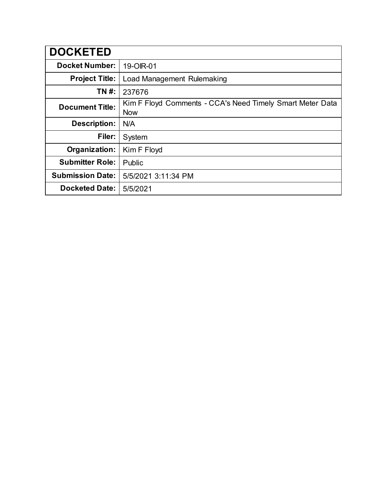| <b>DOCKETED</b>         |                                                                         |
|-------------------------|-------------------------------------------------------------------------|
| <b>Docket Number:</b>   | 19-OIR-01                                                               |
| <b>Project Title:</b>   | Load Management Rulemaking                                              |
| TN #:                   | 237676                                                                  |
| <b>Document Title:</b>  | Kim F Floyd Comments - CCA's Need Timely Smart Meter Data<br><b>Now</b> |
| <b>Description:</b>     | N/A                                                                     |
| Filer:                  | System                                                                  |
| Organization:           | Kim F Floyd                                                             |
| <b>Submitter Role:</b>  | Public                                                                  |
| <b>Submission Date:</b> | 5/5/2021 3:11:34 PM                                                     |
| <b>Docketed Date:</b>   | 5/5/2021                                                                |